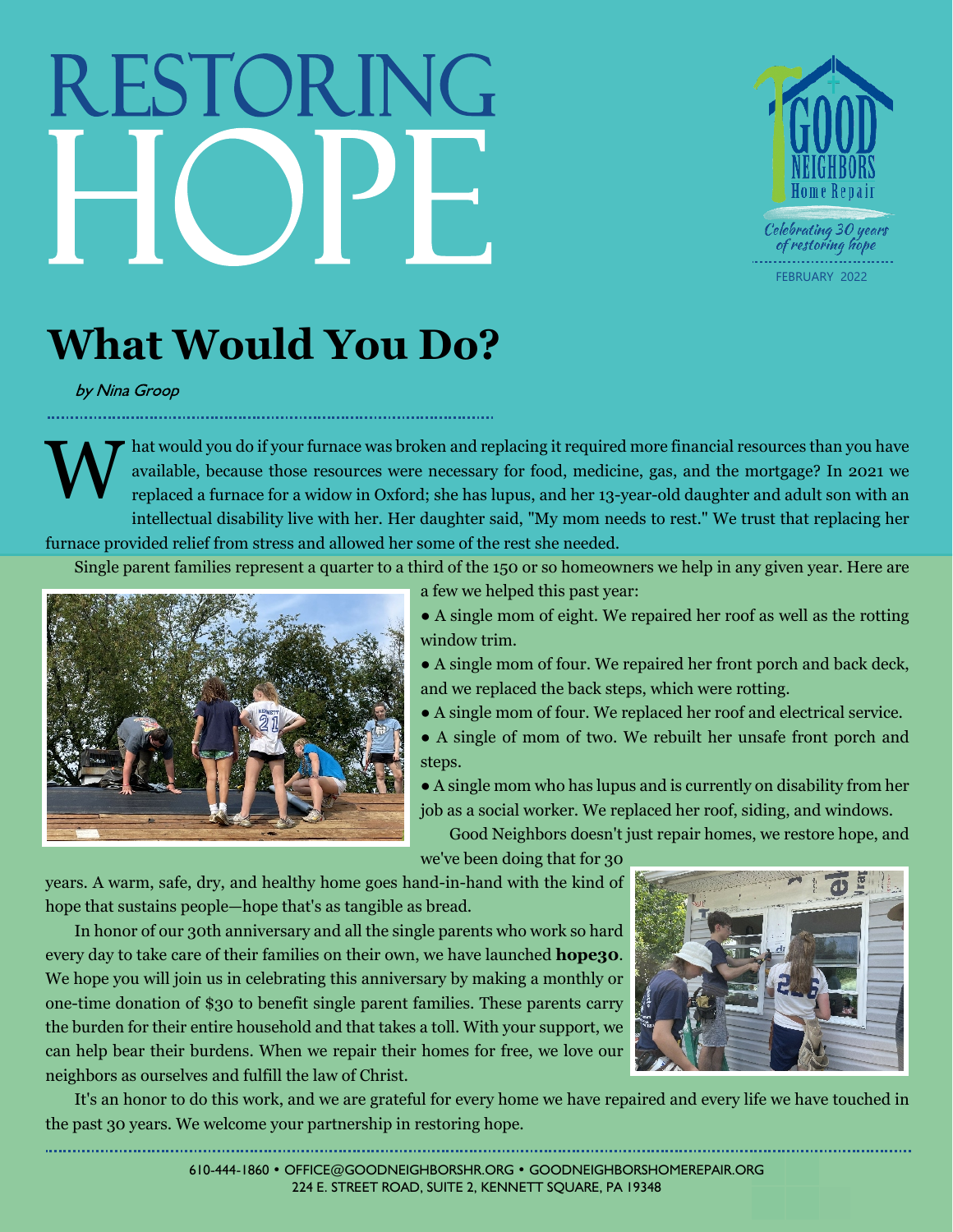## RESTORING



**What Would You Do?**

by Nina Groop

hat would you do if your furnace was broken and replacing it required more financial resources than you have available, because those resources were necessary for food, medicine, gas, and the mortgage? In 2021 we replaced a furnace for a widow in Oxford; she has lupus, and her 13-year-old daughter and adult son with an intellectual disability live with her. Her daughter said, "My mom needs to rest." We trust that replacing her furnace provided relief from stress and allowed her some of the rest she needed. W

Single parent families represent a quarter to a third of the 150 or so homeowners we help in any given year. Here are



a few we helped this past year:

• A single mom of eight. We repaired her roof as well as the rotting window trim.

● A single mom of four. We repaired her front porch and back deck, and we replaced the back steps, which were rotting.

● A single mom of four. We replaced her roof and electrical service.

● A single of mom of two. We rebuilt her unsafe front porch and steps.

● A single mom who has lupus and is currently on disability from her job as a social worker. We replaced her roof, siding, and windows.

Good Neighbors doesn't just repair homes, we restore hope, and

we've been doing that for 30

years. A warm, safe, dry, and healthy home goes hand-in-hand with the kind of hope that sustains people—hope that's as tangible as bread.

In honor of our 30th anniversary and all the single parents who work so hard every day to take care of their families on their own, we have launched **hope30**. We hope you will join us in celebrating this anniversary by making a monthly or one-time donation of \$30 to benefit single parent families. These parents carry the burden for their entire household and that takes a toll. With your support, we can help bear their burdens. When we repair their homes for free, we love our neighbors as ourselves and fulfill the law of Christ.



It's an honor to do this work, and we are grateful for every home we have repaired and every life we have touched in the past 30 years. We welcome your partnership in restoring hope.

> 610-444-1860 • OFFICE@GOODNEIGHBORSHR.ORG • GOODNEIGHBORSHOMEREPAIR.ORG 224 E. STREET ROAD, SUITE 2, KENNETT SQUARE, PA 19348